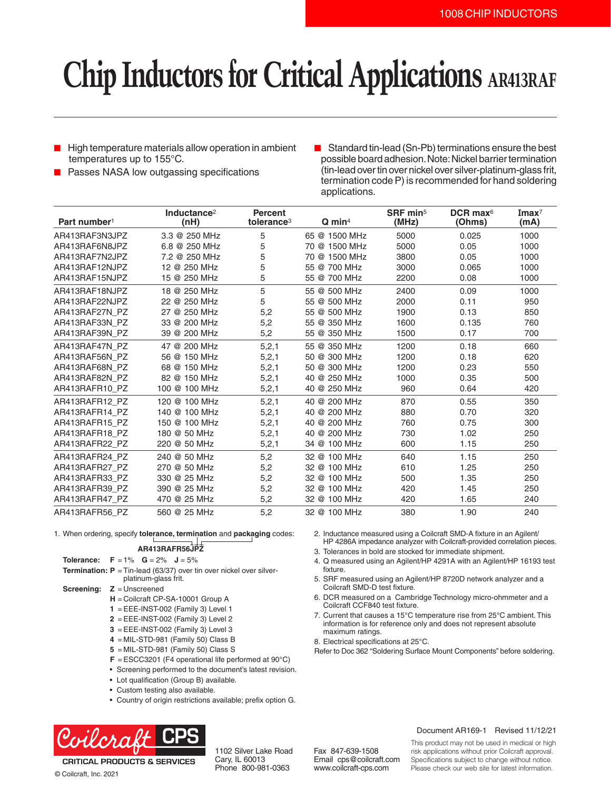# **Chip Inductors for Critical Applications AR413RAF**

- High temperature materials allow operation in ambient temperatures up to 155°C.
- Passes NASA low outgassing specifications
- Standard tin-lead (Sn-Pb) terminations ensure the best possible board adhesion. Note: Nickel barrier termination (tin-lead over tin over nickel over silver-platinum-glass frit, termination code P) is recommended for hand soldering applications.

| Part number <sup>1</sup> | Inductance <sup>2</sup><br>(nH) | <b>Percent</b><br>tolerance <sup>3</sup> | $Q$ min <sup>4</sup> | SRF min <sup>5</sup><br>(MHz) | DCR max $6$<br>(Ohms) | $\mathbf{Imax}^7$<br>(mA) |
|--------------------------|---------------------------------|------------------------------------------|----------------------|-------------------------------|-----------------------|---------------------------|
| AR413RAF3N3JPZ           | 3.3 @ 250 MHz                   | 5                                        | 65 @ 1500 MHz        | 5000                          | 0.025                 | 1000                      |
| AR413RAF6N8JPZ           | 6.8 @ 250 MHz                   | 5                                        | 70 @ 1500 MHz        | 5000                          | 0.05                  | 1000                      |
| AR413RAF7N2JPZ           | 7.2 @ 250 MHz                   | 5                                        | 70 @ 1500 MHz        | 3800                          | 0.05                  | 1000                      |
| AR413RAF12NJPZ           | 12 @ 250 MHz                    | 5                                        | 55 @ 700 MHz         | 3000                          | 0.065                 | 1000                      |
| AR413RAF15NJPZ           | 15 @ 250 MHz                    | 5                                        | 55 @ 700 MHz         | 2200                          | 0.08                  | 1000                      |
| AR413RAF18NJPZ           | 18 @ 250 MHz                    | 5                                        | 55 @ 500 MHz         | 2400                          | 0.09                  | 1000                      |
| AR413RAF22NJPZ           | 22 @ 250 MHz                    | 5                                        | 55 @ 500 MHz         | 2000                          | 0.11                  | 950                       |
| AR413RAF27N PZ           | 27 @ 250 MHz                    | 5,2                                      | 55 @ 500 MHz         | 1900                          | 0.13                  | 850                       |
| AR413RAF33N PZ           | 33 @ 200 MHz                    | 5,2                                      | 55 @ 350 MHz         | 1600                          | 0.135                 | 760                       |
| AR413RAF39N PZ           | 39 @ 200 MHz                    | 5,2                                      | 55 @ 350 MHz         | 1500                          | 0.17                  | 700                       |
| AR413RAF47N PZ           | 47 @ 200 MHz                    | 5,2,1                                    | 55 @ 350 MHz         | 1200                          | 0.18                  | 660                       |
| AR413RAF56N PZ           | 56 @ 150 MHz                    | 5,2,1                                    | 50 @ 300 MHz         | 1200                          | 0.18                  | 620                       |
| AR413RAF68N PZ           | 68 @ 150 MHz                    | 5,2,1                                    | 50 @ 300 MHz         | 1200                          | 0.23                  | 550                       |
| AR413RAF82N PZ           | 82 @ 150 MHz                    | 5,2,1                                    | 40 @ 250 MHz         | 1000                          | 0.35                  | 500                       |
| AR413RAFR10 PZ           | 100 @ 100 MHz                   | 5, 2, 1                                  | 40 @ 250 MHz         | 960                           | 0.64                  | 420                       |
| AR413RAFR12 PZ           | 120 @ 100 MHz                   | 5,2,1                                    | 40 @ 200 MHz         | 870                           | 0.55                  | 350                       |
| AR413RAFR14 PZ           | 140 @ 100 MHz                   | 5, 2, 1                                  | 40 @ 200 MHz         | 880                           | 0.70                  | 320                       |
| AR413RAFR15 PZ           | 150 @ 100 MHz                   | 5, 2, 1                                  | 40 @ 200 MHz         | 760                           | 0.75                  | 300                       |
| AR413RAFR18 PZ           | 180 @ 50 MHz                    | 5,2,1                                    | 40 @ 200 MHz         | 730                           | 1.02                  | 250                       |
| AR413RAFR22 PZ           | 220 @ 50 MHz                    | 5,2,1                                    | 34 @ 100 MHz         | 600                           | 1.15                  | 250                       |
| AR413RAFR24 PZ           | 240 @ 50 MHz                    | 5,2                                      | 32 @ 100 MHz         | 640                           | 1.15                  | 250                       |
| AR413RAFR27 PZ           | 270 @ 50 MHz                    | 5,2                                      | 32 @ 100 MHz         | 610                           | 1.25                  | 250                       |
| AR413RAFR33 PZ           | 330 @ 25 MHz                    | 5,2                                      | 32 @ 100 MHz         | 500                           | 1.35                  | 250                       |
| AR413RAFR39 PZ           | 390 @ 25 MHz                    | 5,2                                      | 32 @ 100 MHz         | 420                           | 1.45                  | 250                       |
| AR413RAFR47 PZ           | 470 @ 25 MHz                    | 5,2                                      | 32 @ 100 MHz         | 420                           | 1.65                  | 240                       |
| AR413RAFR56 PZ           | 560 @ 25 MHz                    | 5,2                                      | 32 @ 100 MHz         | 380                           | 1.90                  | 240                       |

1. When ordering, specify **tolerance, termination** and **packaging** codes:

### **AR413RAFR56JPZ**

- **Tolerance: F** = 1% **G** = 2% **J** = 5%
- **Termination: P** = Tin-lead (63/37) over tin over nickel over silverplatinum-glass frit.
- **Screening: Z** = Unscreened
	- **H** = Coilcraft CP-SA-10001 Group A
	- **1** = EEE-INST-002 (Family 3) Level 1
	- **2** = EEE-INST-002 (Family 3) Level 2
	- **3** = EEE-INST-002 (Family 3) Level 3
	- **4** = MIL-STD-981 (Family 50) Class B
	- **5** = MIL-STD-981 (Family 50) Class S
	- **F** = ESCC3201 (F4 operational life performed at 90°C)
	- Screening performed to the document's latest revision.
	- Lot qualification (Group B) available.
	- Custom testing also available.
	- Country of origin restrictions available; prefix option G.



1102 Silver Lake Road Cary, IL 60013 Phone 800-981-0363

- 2. Inductance measured using a Coilcraft SMD-A fixture in an Agilent/ HP 4286A impedance analyzer with Coilcraft-provided correlation pieces.
- 3. Tolerances in bold are stocked for immediate shipment.
- 4. Q measured using an Agilent/HP 4291A with an Agilent/HP 16193 test fixture.
- 5. SRF measured using an Agilent/HP 8720D network analyzer and a Coilcraft SMD-D test fixture.
- 6. DCR measured on a Cambridge Technology micro-ohmmeter and a Coilcraft CCF840 test fixture.
- 7. Current that causes a 15°C temperature rise from 25°C ambient. This information is for reference only and does not represent absolute maximum ratings.
- 8. Electrical specifications at 25°C.
- Refer to Doc 362 "Soldering Surface Mount Components" before soldering.

Fax 847-639-1508 Email cps@coilcraft.com www.coilcraft-cps.com

### Document AR169-1 Revised 11/12/21

This product may not be used in medical or high risk applications without prior Coilcraft approval. Specifications subject to change without notice. Please check our web site for latest information.